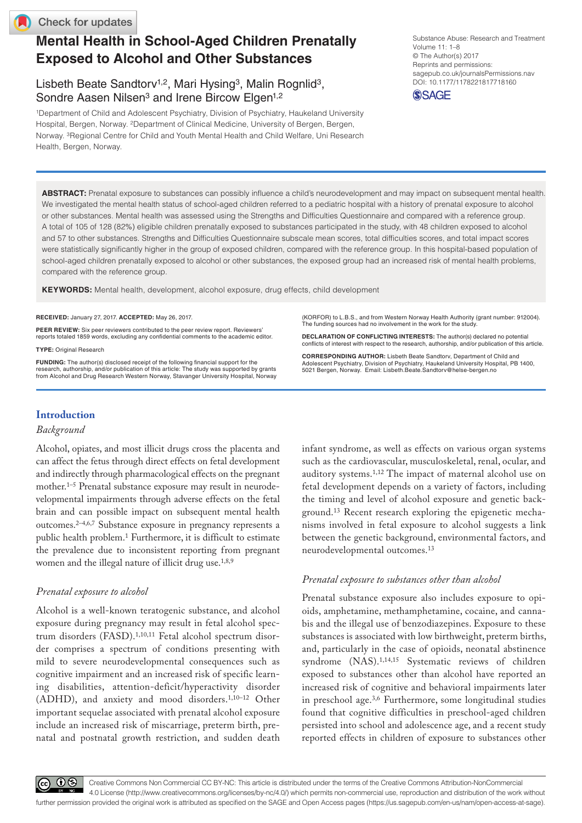# **Mental Health in School-Aged Children Prenatally Exposed to Alcohol and Other Substances**

Lisbeth Beate Sandtorv<sup>1,2</sup>, Mari Hysing<sup>3</sup>, Malin Rognlid<sup>3</sup>, Sondre Aasen Nilsen<sup>3</sup> and Irene Bircow Elgen<sup>1,2</sup>

1Department of Child and Adolescent Psychiatry, Division of Psychiatry, Haukeland University Hospital, Bergen, Norway. 2Department of Clinical Medicine, University of Bergen, Bergen, Norway. 3Regional Centre for Child and Youth Mental Health and Child Welfare, Uni Research Health, Bergen, Norway.

DOI: 10.1177/1178221817718160 Substance Abuse: Research and Treatment Volume 11: 1–8 © The Author(s) 2017 Reprints and permissions: [sagepub.co.uk/journalsPermissions.nav](https://uk.sagepub.com/en-gb/journals-permissions)



**ABSTRACT:** Prenatal exposure to substances can possibly influence a child's neurodevelopment and may impact on subsequent mental health. We investigated the mental health status of school-aged children referred to a pediatric hospital with a history of prenatal exposure to alcohol or other substances. Mental health was assessed using the Strengths and Difficulties Questionnaire and compared with a reference group. A total of 105 of 128 (82%) eligible children prenatally exposed to substances participated in the study, with 48 children exposed to alcohol and 57 to other substances. Strengths and Difficulties Questionnaire subscale mean scores, total difficulties scores, and total impact scores were statistically significantly higher in the group of exposed children, compared with the reference group. In this hospital-based population of school-aged children prenatally exposed to alcohol or other substances, the exposed group had an increased risk of mental health problems, compared with the reference group.

**Keywords:** Mental health, development, alcohol exposure, drug effects, child development

**RECEIVED:** January 27, 2017. **ACCEPTED:** May 26, 2017.

**PEER REVIEW:** Six peer reviewers contributed to the peer review report. Reviewers reports totaled 1859 words, excluding any confidential comments to the academic editor.

**Type:** Original Research

**FUNDING:** The author(s) disclosed receipt of the following financial support for the research, authorship, and/or publication of this article: The study was supported by grants from Alcohol and Drug Research Western Norway, Stavanger University Hospital, Norway

## **Introduction**

#### *Background*

Alcohol, opiates, and most illicit drugs cross the placenta and can affect the fetus through direct effects on fetal development and indirectly through pharmacological effects on the pregnant mother.1–5 Prenatal substance exposure may result in neurodevelopmental impairments through adverse effects on the fetal brain and can possible impact on subsequent mental health outcomes.2–4,6,7 Substance exposure in pregnancy represents a public health problem.1 Furthermore, it is difficult to estimate the prevalence due to inconsistent reporting from pregnant women and the illegal nature of illicit drug use.<sup>1,8,9</sup>

## *Prenatal exposure to alcohol*

Alcohol is a well-known teratogenic substance, and alcohol exposure during pregnancy may result in fetal alcohol spectrum disorders (FASD).<sup>1,10,11</sup> Fetal alcohol spectrum disorder comprises a spectrum of conditions presenting with mild to severe neurodevelopmental consequences such as cognitive impairment and an increased risk of specific learning disabilities, attention-deficit/hyperactivity disorder (ADHD), and anxiety and mood disorders.1,10–12 Other important sequelae associated with prenatal alcohol exposure include an increased risk of miscarriage, preterm birth, prenatal and postnatal growth restriction, and sudden death

(KORFOR) to L.B.S., and from Western Norway Health Authority (grant number: 912004). The funding sources had no involvement in the work for the study.

**Declaration of conflicting interests:** The author(s) declared no potential conflicts of interest with respect to the research, authorship, and/or publication of this article.

**CORRESPONDING AUTHOR:** Lisbeth Beate Sandtorv, Department of Child and Adolescent Psychiatry, Division of Psychiatry, Haukeland University Hospital, PB 1400, 5021 Bergen, Norway. Email: [Lisbeth.Beate.Sandtorv@helse-bergen.no](mailto:Lisbeth.Beate.Sandtorv@helse-bergen.no)

infant syndrome, as well as effects on various organ systems such as the cardiovascular, musculoskeletal, renal, ocular, and auditory systems.1,12 The impact of maternal alcohol use on fetal development depends on a variety of factors, including the timing and level of alcohol exposure and genetic background.13 Recent research exploring the epigenetic mechanisms involved in fetal exposure to alcohol suggests a link between the genetic background, environmental factors, and neurodevelopmental outcomes.13

## *Prenatal exposure to substances other than alcohol*

Prenatal substance exposure also includes exposure to opioids, amphetamine, methamphetamine, cocaine, and cannabis and the illegal use of benzodiazepines. Exposure to these substances is associated with low birthweight, preterm births, and, particularly in the case of opioids, neonatal abstinence syndrome (NAS).1,14,15 Systematic reviews of children exposed to substances other than alcohol have reported an increased risk of cognitive and behavioral impairments later in preschool age.3,6 Furthermore, some longitudinal studies found that cognitive difficulties in preschool-aged children persisted into school and adolescence age, and a recent study reported effects in children of exposure to substances other

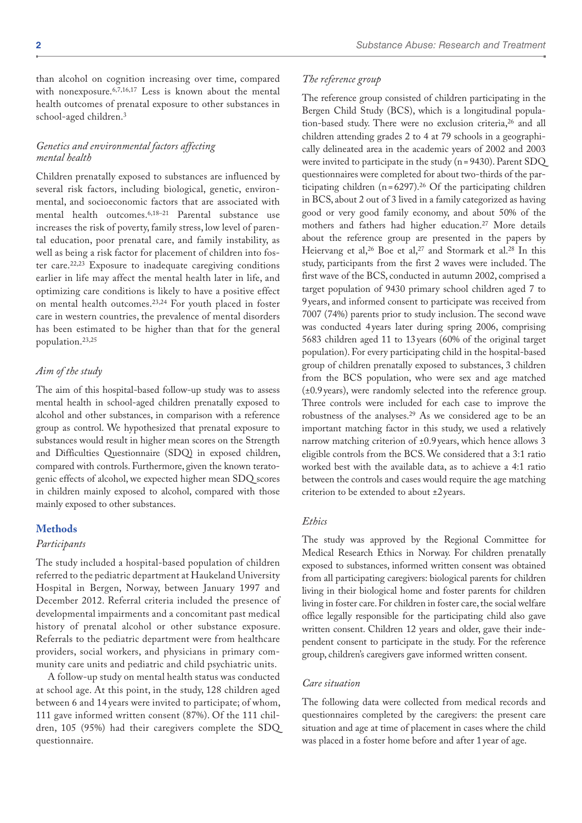than alcohol on cognition increasing over time, compared with nonexposure.6,7,16,17 Less is known about the mental health outcomes of prenatal exposure to other substances in school-aged children.3

## *Genetics and environmental factors affecting mental health*

Children prenatally exposed to substances are influenced by several risk factors, including biological, genetic, environmental, and socioeconomic factors that are associated with mental health outcomes.6,18–21 Parental substance use increases the risk of poverty, family stress, low level of parental education, poor prenatal care, and family instability, as well as being a risk factor for placement of children into foster care.22,23 Exposure to inadequate caregiving conditions earlier in life may affect the mental health later in life, and optimizing care conditions is likely to have a positive effect on mental health outcomes.23,24 For youth placed in foster care in western countries, the prevalence of mental disorders has been estimated to be higher than that for the general population.23,25

#### *Aim of the study*

The aim of this hospital-based follow-up study was to assess mental health in school-aged children prenatally exposed to alcohol and other substances, in comparison with a reference group as control. We hypothesized that prenatal exposure to substances would result in higher mean scores on the Strength and Difficulties Questionnaire (SDQ) in exposed children, compared with controls. Furthermore, given the known teratogenic effects of alcohol, we expected higher mean SDQ scores in children mainly exposed to alcohol, compared with those mainly exposed to other substances.

## **Methods**

#### *Participants*

The study included a hospital-based population of children referred to the pediatric department at Haukeland University Hospital in Bergen, Norway, between January 1997 and December 2012. Referral criteria included the presence of developmental impairments and a concomitant past medical history of prenatal alcohol or other substance exposure. Referrals to the pediatric department were from healthcare providers, social workers, and physicians in primary community care units and pediatric and child psychiatric units.

A follow-up study on mental health status was conducted at school age. At this point, in the study, 128 children aged between 6 and 14 years were invited to participate; of whom, 111 gave informed written consent (87%). Of the 111 children, 105 (95%) had their caregivers complete the SDQ questionnaire.

## *The reference group*

The reference group consisted of children participating in the Bergen Child Study (BCS), which is a longitudinal population-based study. There were no exclusion criteria,<sup>26</sup> and all children attending grades 2 to 4 at 79 schools in a geographically delineated area in the academic years of 2002 and 2003 were invited to participate in the study (n= 9430). Parent SDQ questionnaires were completed for about two-thirds of the participating children ( $n = 6297$ ).<sup>26</sup> Of the participating children in BCS, about 2 out of 3 lived in a family categorized as having good or very good family economy, and about 50% of the mothers and fathers had higher education.27 More details about the reference group are presented in the papers by Heiervang et al,<sup>26</sup> Boe et al,<sup>27</sup> and Stormark et al.<sup>28</sup> In this study, participants from the first 2 waves were included. The first wave of the BCS, conducted in autumn 2002, comprised a target population of 9430 primary school children aged 7 to 9years, and informed consent to participate was received from 7007 (74%) parents prior to study inclusion. The second wave was conducted 4years later during spring 2006, comprising 5683 children aged 11 to 13 years (60% of the original target population). For every participating child in the hospital-based group of children prenatally exposed to substances, 3 children from the BCS population, who were sex and age matched (±0.9 years), were randomly selected into the reference group. Three controls were included for each case to improve the robustness of the analyses.29 As we considered age to be an important matching factor in this study, we used a relatively narrow matching criterion of ±0.9 years, which hence allows 3 eligible controls from the BCS. We considered that a 3:1 ratio worked best with the available data, as to achieve a 4:1 ratio between the controls and cases would require the age matching criterion to be extended to about ±2 years.

## *Ethics*

The study was approved by the Regional Committee for Medical Research Ethics in Norway. For children prenatally exposed to substances, informed written consent was obtained from all participating caregivers: biological parents for children living in their biological home and foster parents for children living in foster care. For children in foster care, the social welfare office legally responsible for the participating child also gave written consent. Children 12 years and older, gave their independent consent to participate in the study. For the reference group, children's caregivers gave informed written consent.

#### *Care situation*

The following data were collected from medical records and questionnaires completed by the caregivers: the present care situation and age at time of placement in cases where the child was placed in a foster home before and after 1 year of age.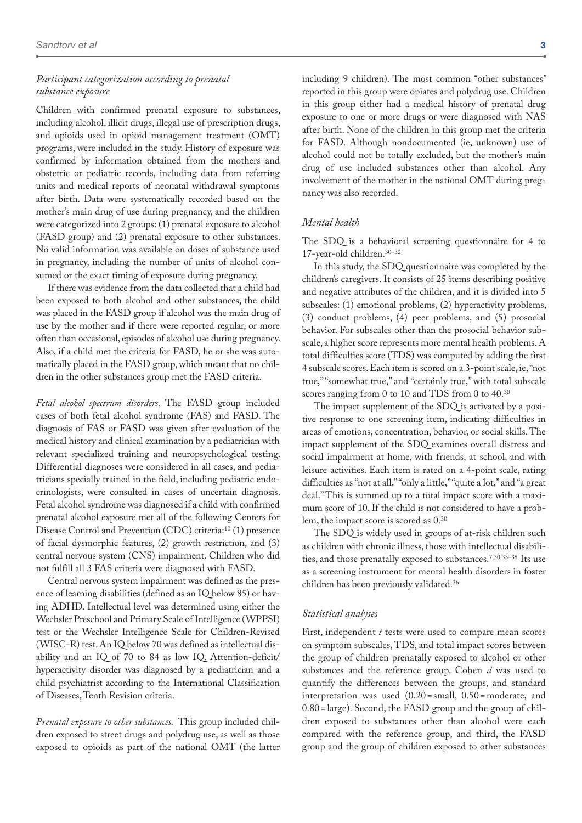## *Participant categorization according to prenatal substance exposure*

Children with confirmed prenatal exposure to substances, including alcohol, illicit drugs, illegal use of prescription drugs, and opioids used in opioid management treatment (OMT) programs, were included in the study. History of exposure was confirmed by information obtained from the mothers and obstetric or pediatric records, including data from referring units and medical reports of neonatal withdrawal symptoms after birth. Data were systematically recorded based on the mother's main drug of use during pregnancy, and the children were categorized into 2 groups: (1) prenatal exposure to alcohol (FASD group) and (2) prenatal exposure to other substances. No valid information was available on doses of substance used in pregnancy, including the number of units of alcohol consumed or the exact timing of exposure during pregnancy.

If there was evidence from the data collected that a child had been exposed to both alcohol and other substances, the child was placed in the FASD group if alcohol was the main drug of use by the mother and if there were reported regular, or more often than occasional, episodes of alcohol use during pregnancy. Also, if a child met the criteria for FASD, he or she was automatically placed in the FASD group, which meant that no children in the other substances group met the FASD criteria.

*Fetal alcohol spectrum disorders.* The FASD group included cases of both fetal alcohol syndrome (FAS) and FASD. The diagnosis of FAS or FASD was given after evaluation of the medical history and clinical examination by a pediatrician with relevant specialized training and neuropsychological testing. Differential diagnoses were considered in all cases, and pediatricians specially trained in the field, including pediatric endocrinologists, were consulted in cases of uncertain diagnosis. Fetal alcohol syndrome was diagnosed if a child with confirmed prenatal alcohol exposure met all of the following Centers for Disease Control and Prevention (CDC) criteria:10 (1) presence of facial dysmorphic features, (2) growth restriction, and (3) central nervous system (CNS) impairment. Children who did not fulfill all 3 FAS criteria were diagnosed with FASD.

Central nervous system impairment was defined as the presence of learning disabilities (defined as an IQ below 85) or having ADHD. Intellectual level was determined using either the Wechsler Preschool and Primary Scale of Intelligence (WPPSI) test or the Wechsler Intelligence Scale for Children-Revised (WISC-R) test. An IQ below 70 was defined as intellectual disability and an IQ of 70 to 84 as low IQ. Attention-deficit/ hyperactivity disorder was diagnosed by a pediatrician and a child psychiatrist according to the International Classification of Diseases, Tenth Revision criteria.

*Prenatal exposure to other substances.* This group included children exposed to street drugs and polydrug use, as well as those exposed to opioids as part of the national OMT (the latter including 9 children). The most common "other substances" reported in this group were opiates and polydrug use. Children

in this group either had a medical history of prenatal drug exposure to one or more drugs or were diagnosed with NAS after birth. None of the children in this group met the criteria for FASD. Although nondocumented (ie, unknown) use of alcohol could not be totally excluded, but the mother's main drug of use included substances other than alcohol. Any involvement of the mother in the national OMT during pregnancy was also recorded.

## *Mental health*

The SDQ is a behavioral screening questionnaire for 4 to 17-year-old children.30–32

In this study, the SDQ questionnaire was completed by the children's caregivers. It consists of 25 items describing positive and negative attributes of the children, and it is divided into 5 subscales: (1) emotional problems, (2) hyperactivity problems, (3) conduct problems, (4) peer problems, and (5) prosocial behavior. For subscales other than the prosocial behavior subscale, a higher score represents more mental health problems. A total difficulties score (TDS) was computed by adding the first 4 subscale scores. Each item is scored on a 3-point scale, ie, "not true," "somewhat true," and "certainly true," with total subscale scores ranging from 0 to 10 and TDS from 0 to 40.30

The impact supplement of the SDQ is activated by a positive response to one screening item, indicating difficulties in areas of emotions, concentration, behavior, or social skills. The impact supplement of the SDQ examines overall distress and social impairment at home, with friends, at school, and with leisure activities. Each item is rated on a 4-point scale, rating difficulties as "not at all," "only a little," "quite a lot," and "a great deal." This is summed up to a total impact score with a maximum score of 10. If the child is not considered to have a problem, the impact score is scored as 0.30

The SDQ is widely used in groups of at-risk children such as children with chronic illness, those with intellectual disabilities, and those prenatally exposed to substances.7,30,33–35 Its use as a screening instrument for mental health disorders in foster children has been previously validated.36

#### *Statistical analyses*

First, independent *t* tests were used to compare mean scores on symptom subscales, TDS, and total impact scores between the group of children prenatally exposed to alcohol or other substances and the reference group. Cohen *d* was used to quantify the differences between the groups, and standard interpretation was used (0.20 = small, 0.50 = moderate, and 0.80 = large). Second, the FASD group and the group of children exposed to substances other than alcohol were each compared with the reference group, and third, the FASD group and the group of children exposed to other substances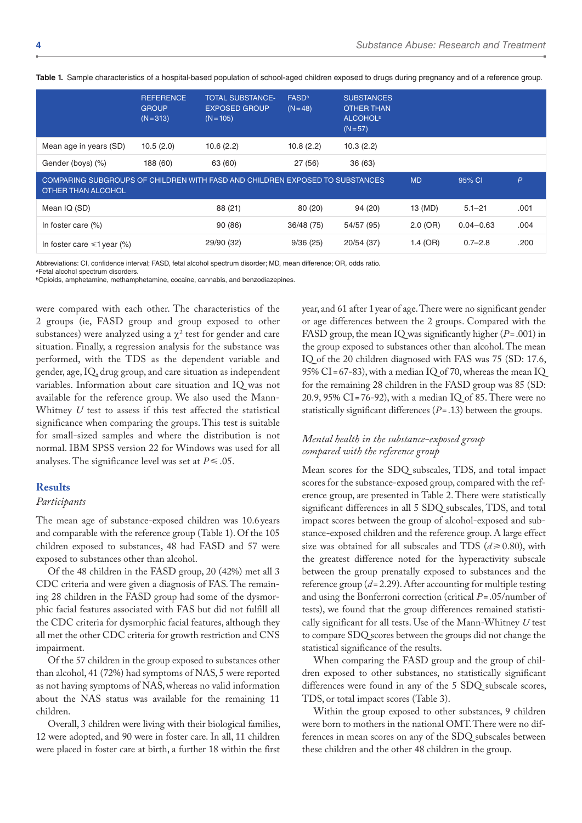|                                                                                                           | <b>REFERENCE</b><br><b>GROUP</b><br>$(N = 313)$ | <b>TOTAL SUBSTANCE-</b><br><b>EXPOSED GROUP</b><br>$(N = 105)$ | FASD <sup>a</sup><br>$(N = 48)$ | <b>SUBSTANCES</b><br><b>OTHER THAN</b><br><b>ALCOHOL</b> <sup>b</sup><br>$(N=57)$ |            |               |      |
|-----------------------------------------------------------------------------------------------------------|-------------------------------------------------|----------------------------------------------------------------|---------------------------------|-----------------------------------------------------------------------------------|------------|---------------|------|
| Mean age in years (SD)                                                                                    | 10.5(2.0)                                       | 10.6(2.2)                                                      | 10.8(2.2)                       | 10.3(2.2)                                                                         |            |               |      |
| Gender (boys) (%)                                                                                         | 188 (60)                                        | 63 (60)                                                        | 27(56)                          | 36(63)                                                                            |            |               |      |
| COMPARING SUBGROUPS OF CHILDREN WITH FASD AND CHILDREN EXPOSED TO SUBSTANCES<br><b>OTHER THAN ALCOHOL</b> |                                                 |                                                                |                                 |                                                                                   | <b>MD</b>  | 95% CI        | P    |
| Mean IQ (SD)                                                                                              |                                                 | 88 (21)                                                        | 80 (20)                         | 94 (20)                                                                           | 13 (MD)    | $5.1 - 21$    | .001 |
| In foster care (%)                                                                                        |                                                 | 90(86)                                                         | 36/48 (75)                      | 54/57 (95)                                                                        | 2.0 (OR)   | $0.04 - 0.63$ | .004 |
| In foster care $\leq 1$ year (%)                                                                          |                                                 | 29/90 (32)                                                     | 9/36(25)                        | 20/54 (37)                                                                        | $1.4$ (OR) | $0.7 - 2.8$   | .200 |

| Table 1. Sample characteristics of a hospital-based population of school-aged children exposed to drugs during pregnancy and of a reference group. |  |  |  |
|----------------------------------------------------------------------------------------------------------------------------------------------------|--|--|--|
|----------------------------------------------------------------------------------------------------------------------------------------------------|--|--|--|

Abbreviations: CI, confidence interval; FASD, fetal alcohol spectrum disorder; MD, mean difference; OR, odds ratio.

aFetal alcohol spectrum disorders.

**bOpioids, amphetamine, methamphetamine, cocaine, cannabis, and benzodiazepines.** 

were compared with each other. The characteristics of the 2 groups (ie, FASD group and group exposed to other substances) were analyzed using a  $\chi^2$  test for gender and care situation. Finally, a regression analysis for the substance was performed, with the TDS as the dependent variable and gender, age, IQ, drug group, and care situation as independent variables. Information about care situation and IQ was not available for the reference group. We also used the Mann-Whitney *U* test to assess if this test affected the statistical significance when comparing the groups. This test is suitable for small-sized samples and where the distribution is not normal. IBM SPSS version 22 for Windows was used for all analyses. The significance level was set at  $P \le 0.05$ .

### **Results**

#### *Participants*

The mean age of substance-exposed children was 10.6years and comparable with the reference group (Table 1). Of the 105 children exposed to substances, 48 had FASD and 57 were exposed to substances other than alcohol.

Of the 48 children in the FASD group, 20 (42%) met all 3 CDC criteria and were given a diagnosis of FAS. The remaining 28 children in the FASD group had some of the dysmorphic facial features associated with FAS but did not fulfill all the CDC criteria for dysmorphic facial features, although they all met the other CDC criteria for growth restriction and CNS impairment.

Of the 57 children in the group exposed to substances other than alcohol, 41 (72%) had symptoms of NAS, 5 were reported as not having symptoms of NAS, whereas no valid information about the NAS status was available for the remaining 11 children.

Overall, 3 children were living with their biological families, 12 were adopted, and 90 were in foster care. In all, 11 children were placed in foster care at birth, a further 18 within the first year, and 61 after 1year of age. There were no significant gender or age differences between the 2 groups. Compared with the FASD group, the mean IQ was significantly higher (*P*=.001) in the group exposed to substances other than alcohol. The mean IQ of the 20 children diagnosed with FAS was 75 (SD: 17.6, 95% CI=67-83), with a median IQ of 70, whereas the mean IQ for the remaining 28 children in the FASD group was 85 (SD: 20.9, 95% CI=76-92), with a median IQ of 85. There were no statistically significant differences (*P*=.13) between the groups.

## *Mental health in the substance-exposed group compared with the reference group*

Mean scores for the SDQ subscales, TDS, and total impact scores for the substance-exposed group, compared with the reference group, are presented in Table 2. There were statistically significant differences in all 5 SDQ subscales, TDS, and total impact scores between the group of alcohol-exposed and substance-exposed children and the reference group. A large effect size was obtained for all subscales and TDS  $(d \ge 0.80)$ , with the greatest difference noted for the hyperactivity subscale between the group prenatally exposed to substances and the reference group  $(d=2.29)$ . After accounting for multiple testing and using the Bonferroni correction (critical *P*=.05/number of tests), we found that the group differences remained statistically significant for all tests. Use of the Mann-Whitney *U* test to compare SDQ scores between the groups did not change the statistical significance of the results.

When comparing the FASD group and the group of children exposed to other substances, no statistically significant differences were found in any of the 5 SDQ subscale scores, TDS, or total impact scores (Table 3).

Within the group exposed to other substances, 9 children were born to mothers in the national OMT. There were no differences in mean scores on any of the SDQ subscales between these children and the other 48 children in the group.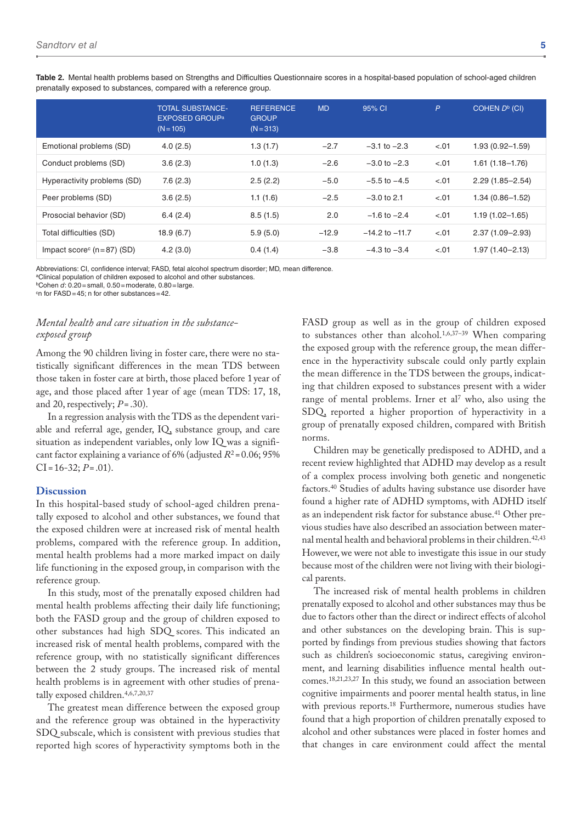|                             | <b>TOTAL SUBSTANCE-</b><br><b>EXPOSED GROUP<sup>a</sup></b><br>$(N = 105)$ | <b>REFERENCE</b><br><b>GROUP</b><br>$(N = 313)$ | <b>MD</b> | 95% CI             | P      | COHEN $D^b$ (CI)    |
|-----------------------------|----------------------------------------------------------------------------|-------------------------------------------------|-----------|--------------------|--------|---------------------|
| Emotional problems (SD)     | 4.0(2.5)                                                                   | 1.3(1.7)                                        | $-2.7$    | $-3.1$ to $-2.3$   | $-.01$ | 1.93 (0.92-1.59)    |
| Conduct problems (SD)       | 3.6(2.3)                                                                   | 1.0(1.3)                                        | $-2.6$    | $-3.0$ to $-2.3$   | $-.01$ | $1.61(1.18 - 1.76)$ |
| Hyperactivity problems (SD) | 7.6(2.3)                                                                   | 2.5(2.2)                                        | $-5.0$    | $-5.5$ to $-4.5$   | $-.01$ | $2.29(1.85 - 2.54)$ |
| Peer problems (SD)          | 3.6(2.5)                                                                   | 1.1(1.6)                                        | $-2.5$    | $-3.0$ to 2.1      | $-.01$ | $1.34(0.86 - 1.52)$ |
| Prosocial behavior (SD)     | 6.4(2.4)                                                                   | 8.5(1.5)                                        | 2.0       | $-1.6$ to $-2.4$   | $-.01$ | $1.19(1.02 - 1.65)$ |
| Total difficulties (SD)     | 18.9(6.7)                                                                  | 5.9(5.0)                                        | $-12.9$   | $-14.2$ to $-11.7$ | $-.01$ | $2.37(1.09 - 2.93)$ |
| Impact score $(n=87)$ (SD)  | 4.2(3.0)                                                                   | 0.4(1.4)                                        | $-3.8$    | $-4.3$ to $-3.4$   | $-.01$ | $1.97(1.40 - 2.13)$ |

**Table 2.** Mental health problems based on Strengths and Difficulties Questionnaire scores in a hospital-based population of school-aged children prenatally exposed to substances, compared with a reference group.

Abbreviations: CI, confidence interval; FASD, fetal alcohol spectrum disorder; MD, mean difference.

aClinical population of children exposed to alcohol and other substances.

bCohen *d*: 0.20=small, 0.50=moderate, 0.80=large.

cn for FASD=45; n for other substances=42.

## *Mental health and care situation in the substanceexposed group*

Among the 90 children living in foster care, there were no statistically significant differences in the mean TDS between those taken in foster care at birth, those placed before 1 year of age, and those placed after 1 year of age (mean TDS: 17, 18, and 20, respectively; *P*=.30).

In a regression analysis with the TDS as the dependent variable and referral age, gender, IQ, substance group, and care situation as independent variables, only low IQ was a significant factor explaining a variance of 6% (adjusted  $R^2$  = 0.06; 95%  $CI = 16 - 32$ ;  $P = .01$ ).

## **Discussion**

In this hospital-based study of school-aged children prenatally exposed to alcohol and other substances, we found that the exposed children were at increased risk of mental health problems, compared with the reference group. In addition, mental health problems had a more marked impact on daily life functioning in the exposed group, in comparison with the reference group.

In this study, most of the prenatally exposed children had mental health problems affecting their daily life functioning; both the FASD group and the group of children exposed to other substances had high SDQ scores. This indicated an increased risk of mental health problems, compared with the reference group, with no statistically significant differences between the 2 study groups. The increased risk of mental health problems is in agreement with other studies of prenatally exposed children.4,6,7,20,37

The greatest mean difference between the exposed group and the reference group was obtained in the hyperactivity SDQ subscale, which is consistent with previous studies that reported high scores of hyperactivity symptoms both in the

FASD group as well as in the group of children exposed to substances other than alcohol.1,6,37–39 When comparing the exposed group with the reference group, the mean difference in the hyperactivity subscale could only partly explain the mean difference in the TDS between the groups, indicating that children exposed to substances present with a wider range of mental problems. Irner et al<sup>7</sup> who, also using the SDQ, reported a higher proportion of hyperactivity in a group of prenatally exposed children, compared with British norms.

Children may be genetically predisposed to ADHD, and a recent review highlighted that ADHD may develop as a result of a complex process involving both genetic and nongenetic factors.40 Studies of adults having substance use disorder have found a higher rate of ADHD symptoms, with ADHD itself as an independent risk factor for substance abuse.41 Other previous studies have also described an association between maternal mental health and behavioral problems in their children.42,43 However, we were not able to investigate this issue in our study because most of the children were not living with their biological parents.

The increased risk of mental health problems in children prenatally exposed to alcohol and other substances may thus be due to factors other than the direct or indirect effects of alcohol and other substances on the developing brain. This is supported by findings from previous studies showing that factors such as children's socioeconomic status, caregiving environment, and learning disabilities influence mental health outcomes.18,21,23,27 In this study, we found an association between cognitive impairments and poorer mental health status, in line with previous reports.18 Furthermore, numerous studies have found that a high proportion of children prenatally exposed to alcohol and other substances were placed in foster homes and that changes in care environment could affect the mental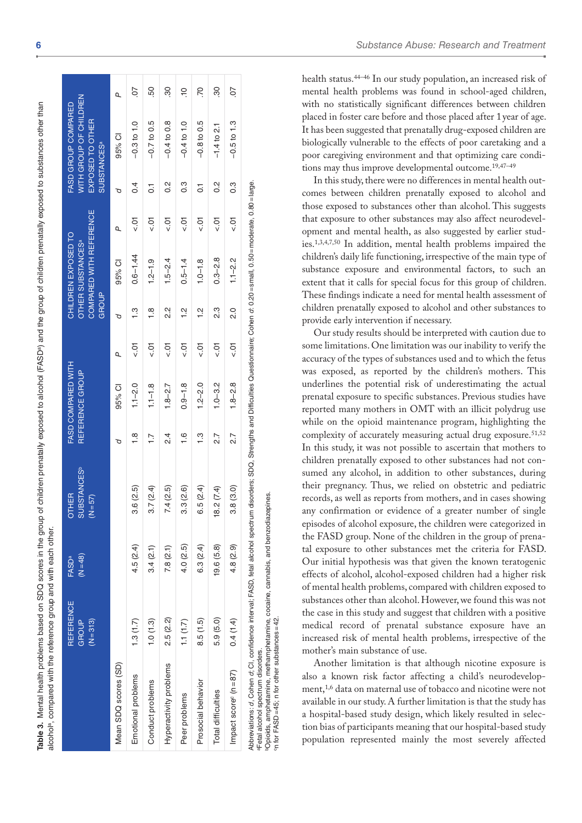|                                                                                                                                                                                                                                                                                                                          | <b>REFERENCE</b><br>GROUP<br>$(N=313)$ | $(N=48)$<br><b>FASD<sup>a</sup></b> | <b>SUBSTANCES<sup>b</sup></b><br><b>OTHER</b><br>$N = 57$ |                  | FASD COMPARED WITH<br>REFERENCE GROUP |                | GROUP         | COMPARED WITH REFERENCE<br><b>CHILDREN EXPOSED TO</b><br>OTHER SUBSTANCES <sup>al</sup> |                |                | WITH GROUP OF CHILDREN<br>FASD GROUP COMPARED<br>EXPOSED TO OTHER<br>SUBSTANCES <sup>a</sup> |                 |
|--------------------------------------------------------------------------------------------------------------------------------------------------------------------------------------------------------------------------------------------------------------------------------------------------------------------------|----------------------------------------|-------------------------------------|-----------------------------------------------------------|------------------|---------------------------------------|----------------|---------------|-----------------------------------------------------------------------------------------|----------------|----------------|----------------------------------------------------------------------------------------------|-----------------|
| Mean SDQ scores (SD)                                                                                                                                                                                                                                                                                                     |                                        |                                     |                                                           | ত                | 95% CI                                | Q              | ত             | 95% CI                                                                                  | Q,             | ত              | 95% CI                                                                                       | Q               |
| Emotional problems                                                                                                                                                                                                                                                                                                       | 1.3(1.7)                               | 4.5 (2.4)                           | 3.6(2.5)                                                  | $\frac{8}{1}$    | $1.1 - 2.0$                           | $\overline{5}$ | $\frac{3}{1}$ | $0.6 - 1.44$                                                                            | ιος            | $\overline{0}$ | $-0.3$ to 1.0                                                                                | SO.             |
| Conduct problems                                                                                                                                                                                                                                                                                                         | 1.0(1.3)                               | 3.4(2.1)                            | 3.7(2.4)                                                  | $\overline{1}$ . | $1.1 - 1.8$                           | $\frac{5}{5}$  | $\frac{8}{1}$ | $1.2 - 1.9$                                                                             | $\overline{5}$ | $\overline{5}$ | $-0.7$ to 0.5                                                                                | 50              |
| Hyperactivity problems                                                                                                                                                                                                                                                                                                   | 2.5(2.2)                               | 7.8(2.1)                            | 7.4(2.5)                                                  | $2\frac{4}{3}$   | $1.8 - 2.7$                           | $\overline{5}$ | 2.3           | $1.5 - 2.4$                                                                             | $\frac{5}{5}$  | $\frac{2}{3}$  | $-0.4$ to 0.8                                                                                | 30              |
| Peer problems                                                                                                                                                                                                                                                                                                            | 1.1(1.7)                               | 4.0(2.5)                            | 3.3(2.6)                                                  | 1.6              | $0.9 - 1.8$                           | $rac{5}{x}$    | $\frac{2}{1}$ | $0.5 - 1.4$                                                                             | ιος            | $\frac{3}{2}$  | $-0.4$ to 1.0                                                                                | $\widetilde{=}$ |
| Prosocial behavior                                                                                                                                                                                                                                                                                                       | 8.5(1.5)                               | 6.3(2.4)                            | 6.5(2.4)                                                  | $\frac{3}{1}$    | $1.2 - 2.0$                           | $rac{5}{x}$    | $\frac{2}{1}$ | $1.0 - 1.8$                                                                             | $\overline{5}$ | 5              | $-0.8$ to 0.5                                                                                | 70              |
| Total difficulties                                                                                                                                                                                                                                                                                                       | 5.9(5.0)                               | 19.6(5.8)                           | 8.2(7.4)                                                  | 2.7              | $1.0 - 3.2$                           | $\frac{5}{x}$  | ς.<br>Ω       | $0.3 - 2.8$                                                                             | ιος            | $\frac{2}{3}$  | $-1.4$ to 2.1                                                                                | 80              |
| Impact score $(n=87)$                                                                                                                                                                                                                                                                                                    | 0.4(1.4)                               | 4.8(2.9)                            | 3.8(3.0)                                                  | 2.7              | $1.8 - 2.8$                           | $\overline{5}$ | o.i           | $1.1 - 2.2$                                                                             | ιος            | $\frac{3}{2}$  | $-0.5$ to 1.3                                                                                | $\overline{0}$  |
| Abbreviations: d, Cohen d; Cl, confidence interval; FASD, fetal alcohol spectrum disorders; SDQ, Strengths and Difficulties Questionnaire; Cohen d: 0.20 = small, 0.50 = moderate, 0.80 = large.<br>opioids, amphetamine, methamphetamine, cocaine, cannabis, and benzodiazepines.<br>aFetal alcohol spectrum disorders. |                                        |                                     |                                                           |                  |                                       |                |               |                                                                                         |                |                |                                                                                              |                 |

health status.44–46 In our study population, an increased risk of mental health problems was found in school-aged children, with no statistically significant differences between children placed in foster care before and those placed after 1 year of age. It has been suggested that prenatally drug-exposed children are biologically vulnerable to the effects of poor caretaking and a poor caregiving environment and that optimizing care condi tions may thus improve developmental outcome.19,47–49

In this study, there were no differences in mental health out comes between children prenatally exposed to alcohol and those exposed to substances other than alcohol. This suggests that exposure to other substances may also affect neurodevel opment and mental health, as also suggested by earlier stud ies.1,3,4,7,50 In addition, mental health problems impaired the children's daily life functioning, irrespective of the main type of substance exposure and environmental factors, to such an extent that it calls for special focus for this group of children. These findings indicate a need for mental health assessment of children prenatally exposed to alcohol and other substances to provide early intervention if necessary.

Our study results should be interpreted with caution due to some limitations. One limitation was our inability to verify the accuracy of the types of substances used and to which the fetus was exposed, as reported by the children's mothers. This underlines the potential risk of underestimating the actual prenatal exposure to specific substances. Previous studies have reported many mothers in OMT with an illicit polydrug use while on the opioid maintenance program, highlighting the complexity of accurately measuring actual drug exposure.<sup>51,52</sup> In this study, it was not possible to ascertain that mothers to children prenatally exposed to other substances had not con sumed any alcohol, in addition to other substances, during their pregnancy. Thus, we relied on obstetric and pediatric records, as well as reports from mothers, and in cases showing any confirmation or evidence of a greater number of single episodes of alcohol exposure, the children were categorized in the FASD group. None of the children in the group of prena tal exposure to other substances met the criteria for FASD. Our initial hypothesis was that given the known teratogenic effects of alcohol, alcohol-exposed children had a higher risk of mental health problems, compared with children exposed to substances other than alcohol. However, we found this was not the case in this study and suggest that children with a positive medical record of prenatal substance exposure have an increased risk of mental health problems, irrespective of the mother's main substance of use.

Another limitation is that although nicotine exposure is also a known risk factor affecting a child's neurodevelop ment,1,6 data on maternal use of tobacco and nicotine were not available in our study. A further limitation is that the study has a hospital-based study design, which likely resulted in selec tion bias of participants meaning that our hospital-based study population represented mainly the most severely affected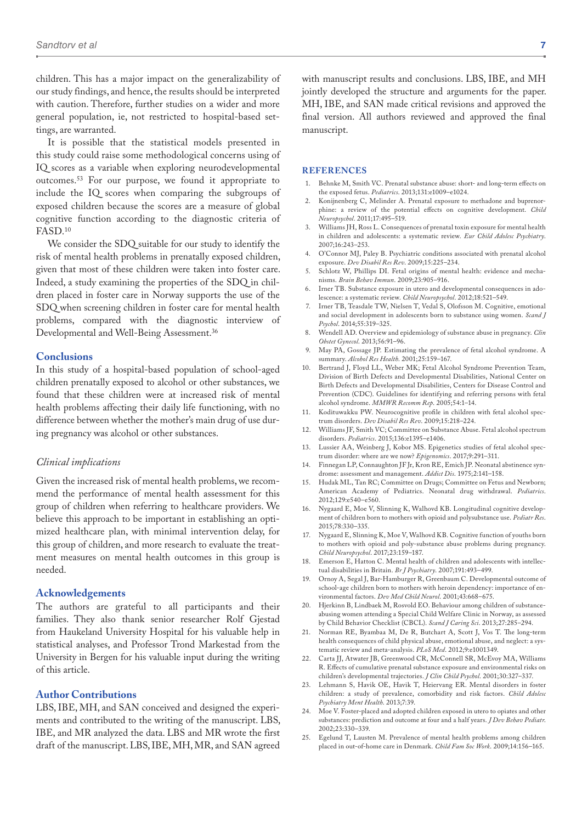children. This has a major impact on the generalizability of our study findings, and hence, the results should be interpreted with caution. Therefore, further studies on a wider and more general population, ie, not restricted to hospital-based settings, are warranted.

It is possible that the statistical models presented in this study could raise some methodological concerns using of IQ scores as a variable when exploring neurodevelopmental outcomes.53 For our purpose, we found it appropriate to include the IQ scores when comparing the subgroups of exposed children because the scores are a measure of global cognitive function according to the diagnostic criteria of FASD.10

We consider the SDQ suitable for our study to identify the risk of mental health problems in prenatally exposed children, given that most of these children were taken into foster care. Indeed, a study examining the properties of the SDQ in children placed in foster care in Norway supports the use of the SDQ when screening children in foster care for mental health problems, compared with the diagnostic interview of Developmental and Well-Being Assessment.36

#### **Conclusions**

In this study of a hospital-based population of school-aged children prenatally exposed to alcohol or other substances, we found that these children were at increased risk of mental health problems affecting their daily life functioning, with no difference between whether the mother's main drug of use during pregnancy was alcohol or other substances.

#### *Clinical implications*

Given the increased risk of mental health problems, we recommend the performance of mental health assessment for this group of children when referring to healthcare providers. We believe this approach to be important in establishing an optimized healthcare plan, with minimal intervention delay, for this group of children, and more research to evaluate the treatment measures on mental health outcomes in this group is needed.

#### **Acknowledgements**

The authors are grateful to all participants and their families. They also thank senior researcher Rolf Gjestad from Haukeland University Hospital for his valuable help in statistical analyses, and Professor Trond Markestad from the University in Bergen for his valuable input during the writing of this article.

#### **Author Contributions**

LBS, IBE, MH, and SAN conceived and designed the experiments and contributed to the writing of the manuscript. LBS, IBE, and MR analyzed the data. LBS and MR wrote the first draft of the manuscript. LBS, IBE, MH, MR, and SAN agreed

with manuscript results and conclusions. LBS, IBE, and MH jointly developed the structure and arguments for the paper. MH, IBE, and SAN made critical revisions and approved the final version. All authors reviewed and approved the final manuscript.

#### **References**

- 1. Behnke M, Smith VC. Prenatal substance abuse: short- and long-term effects on the exposed fetus. *Pediatrics*. 2013;131:e1009–e1024.
- 2. Konijnenberg C, Melinder A. Prenatal exposure to methadone and buprenorphine: a review of the potential effects on cognitive development. *Child Neuropsychol*. 2011;17:495–519.
- 3. Williams JH, Ross L. Consequences of prenatal toxin exposure for mental health in children and adolescents: a systematic review. *Eur Child Adolesc Psychiatry*. 2007;16:243–253.
- 4. O'Connor MJ, Paley B. Psychiatric conditions associated with prenatal alcohol exposure. *Dev Disabil Res Rev*. 2009;15:225–234.
- 5. Schlotz W, Phillips DI. Fetal origins of mental health: evidence and mechanisms. *Brain Behav Immun*. 2009;23:905–916.
- 6. Irner TB. Substance exposure in utero and developmental consequences in adolescence: a systematic review. *Child Neuropsychol*. 2012;18:521–549.
- 7. Irner TB, Teasdale TW, Nielsen T, Vedal S, Olofsson M. Cognitive, emotional and social development in adolescents born to substance using women. *Scand J Psychol*. 2014;55:319–325.
- 8. Wendell AD. Overview and epidemiology of substance abuse in pregnancy. *Clin Obstet Gynecol*. 2013;56:91–96.
- 9. May PA, Gossage JP. Estimating the prevalence of fetal alcohol syndrome. A summary. *Alcohol Res Health*. 2001;25:159–167.
- 10. Bertrand J, Floyd LL, Weber MK; Fetal Alcohol Syndrome Prevention Team, Division of Birth Defects and Developmental Disabilities, National Center on Birth Defects and Developmental Disabilities, Centers for Disease Control and Prevention (CDC). Guidelines for identifying and referring persons with fetal alcohol syndrome. *MMWR Recomm Rep*. 2005;54:1–14.
- 11. Kodituwakku PW. Neurocognitive profile in children with fetal alcohol spectrum disorders. *Dev Disabil Res Rev*. 2009;15:218–224.
- 12. Williams JF, Smith VC; Committee on Substance Abuse. Fetal alcohol spectrum disorders. *Pediatrics*. 2015;136:e1395–e1406.
- 13. Lussier AA, Weinberg J, Kobor MS. Epigenetics studies of fetal alcohol spectrum disorder: where are we now? *Epigenomics*. 2017;9:291–311.
- 14. Finnegan LP, Connaughton JF Jr, Kron RE, Emich JP. Neonatal abstinence syndrome: assessment and management. *Addict Dis*. 1975;2:141–158.
- 15. Hudak ML, Tan RC; Committee on Drugs; Committee on Fetus and Newborn; American Academy of Pediatrics. Neonatal drug withdrawal. *Pediatrics*. 2012;129:e540–e560.
- 16. Nygaard E, Moe V, Slinning K, Walhovd KB. Longitudinal cognitive development of children born to mothers with opioid and polysubstance use. *Pediatr Res*. 2015;78:330–335.
- 17. Nygaard E, Slinning K, Moe V, Walhovd KB. Cognitive function of youths born to mothers with opioid and poly-substance abuse problems during pregnancy. *Child Neuropsychol*. 2017;23:159–187.
- 18. Emerson E, Hatton C. Mental health of children and adolescents with intellectual disabilities in Britain. *Br J Psychiatry*. 2007;191:493–499.
- 19. Ornoy A, Segal J, Bar-Hamburger R, Greenbaum C. Developmental outcome of school-age children born to mothers with heroin dependency: importance of environmental factors. *Dev Med Child Neurol*. 2001;43:668–675.
- 20. Hjerkinn B, Lindbaek M, Rosvold EO. Behaviour among children of substanceabusing women attending a Special Child Welfare Clinic in Norway, as assessed by Child Behavior Checklist (CBCL). *Scand J Caring Sci*. 2013;27:285–294.
- 21. Norman RE, Byambaa M, De R, Butchart A, Scott J, Vos T. The long-term health consequences of child physical abuse, emotional abuse, and neglect: a systematic review and meta-analysis. *PLoS Med*. 2012;9:e1001349.
- 22. Carta JJ, Atwater JB, Greenwood CR, McConnell SR, McEvoy MA, Williams R. Effects of cumulative prenatal substance exposure and environmental risks on children's developmental trajectories. *J Clin Child Psychol*. 2001;30:327–337.
- 23. Lehmann S, Havik OE, Havik T, Heiervang ER. Mental disorders in foster children: a study of prevalence, comorbidity and risk factors. *Child Adolesc Psychiatry Ment Health*. 2013;7:39.
- 24. Moe V. Foster-placed and adopted children exposed in utero to opiates and other substances: prediction and outcome at four and a half years. *J Dev Behav Pediatr*. 2002;23:330–339.
- 25. Egelund T, Lausten M. Prevalence of mental health problems among children placed in out-of-home care in Denmark. *Child Fam Soc Work*. 2009;14:156–165.